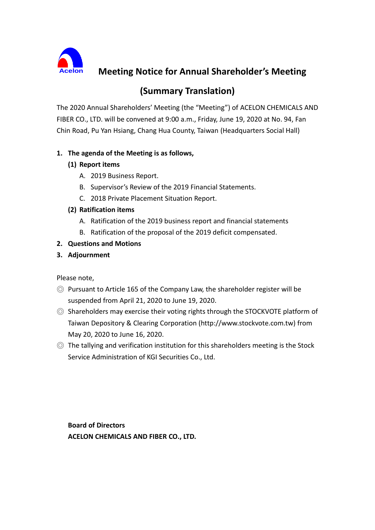

**Meeting Notice for Annual Shareholder's Meeting** 

# **(Summary Translation)**

The 2020 Annual Shareholders' Meeting (the "Meeting") of ACELON CHEMICALS AND FIBER CO., LTD. will be convened at 9:00 a.m., Friday, June 19, 2020 at No. 94, Fan Chin Road, Pu Yan Hsiang, Chang Hua County, Taiwan (Headquarters Social Hall)

# **1. The agenda of the Meeting is as follows,**

# **(1) Report items**

- A. 2019 Business Report.
- B. Supervisor's Review of the 2019 Financial Statements.
- C. 2018 Private Placement Situation Report.

#### **(2) Ratification items**

- A. Ratification of the 2019 business report and financial statements
- B. Ratification of the proposal of the 2019 deficit compensated.

# **2. Questions and Motions**

# **3. Adjournment**

Please note,

- ◎ Pursuant to Article 165 of the Company Law, the shareholder register will be suspended from April 21, 2020 to June 19, 2020.
- ◎ Shareholders may exercise their voting rights through the STOCKVOTE platform of Taiwan Depository & Clearing Corporation (http://www.stockvote.com.tw) from May 20, 2020 to June 16, 2020.
- ◎ The tallying and verification institution for this shareholders meeting is the Stock Service Administration of KGI Securities Co., Ltd.

**Board of Directors ACELON CHEMICALS AND FIBER CO., LTD.**